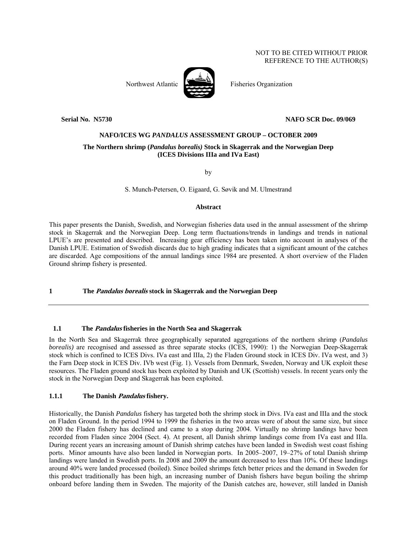#### NOT TO BE CITED WITHOUT PRIOR REFERENCE TO THE AUTHOR(S)

Northwest Atlantic Fisheries Organization



#### **Serial No. N5730 NAFO SCR Doc. 09/069**

# **NAFO/ICES WG** *PANDALUS* **ASSESSMENT GROUP – OCTOBER 2009**

## **The Northern shrimp (***Pandalus borealis)* **Stock in Skagerrak and the Norwegian Deep (ICES Divisions IIIa and IVa East)**

by

S. Munch-Petersen, O. Eigaard, G. Søvik and M. Ulmestrand

#### **Abstract**

This paper presents the Danish, Swedish, and Norwegian fisheries data used in the annual assessment of the shrimp stock in Skagerrak and the Norwegian Deep. Long term fluctuations/trends in landings and trends in national LPUE's are presented and described. Increasing gear efficiency has been taken into account in analyses of the Danish LPUE. Estimation of Swedish discards due to high grading indicates that a significant amount of the catches are discarded. Age compositions of the annual landings since 1984 are presented. A short overview of the Fladen Ground shrimp fishery is presented.

### **1 The Pandalus borealis stock in Skagerrak and the Norwegian Deep**

### **1.1 The Pandalus fisheries in the North Sea and Skagerrak**

In the North Sea and Skagerrak three geographically separated aggregations of the northern shrimp (*Pandalus borealis)* are recognised and assessed as three separate stocks (ICES, 1990): 1) the Norwegian Deep-Skagerrak stock which is confined to ICES Divs. IVa east and IIIa, 2) the Fladen Ground stock in ICES Div. IVa west, and 3) the Farn Deep stock in ICES Div. IVb west (Fig. 1). Vessels from Denmark, Sweden, Norway and UK exploit these resources. The Fladen ground stock has been exploited by Danish and UK (Scottish) vessels. In recent years only the stock in the Norwegian Deep and Skagerrak has been exploited.

### **1.1.1 The Danish Pandalus fishery.**

Historically, the Danish *Pandalus* fishery has targeted both the shrimp stock in Divs. IVa east and IIIa and the stock on Fladen Ground. In the period 1994 to 1999 the fisheries in the two areas were of about the same size, but since 2000 the Fladen fishery has declined and came to a stop during 2004. Virtually no shrimp landings have been recorded from Fladen since 2004 (Sect. 4). At present, all Danish shrimp landings come from IVa east and IIIa. During recent years an increasing amount of Danish shrimp catches have been landed in Swedish west coast fishing ports. Minor amounts have also been landed in Norwegian ports. In 2005–2007, 19–27% of total Danish shrimp landings were landed in Swedish ports. In 2008 and 2009 the amount decreased to less than 10%. Of these landings around 40% were landed processed (boiled). Since boiled shrimps fetch better prices and the demand in Sweden for this product traditionally has been high, an increasing number of Danish fishers have begun boiling the shrimp onboard before landing them in Sweden. The majority of the Danish catches are, however, still landed in Danish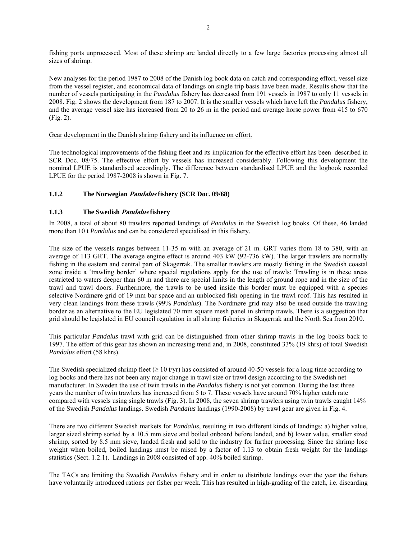fishing ports unprocessed. Most of these shrimp are landed directly to a few large factories processing almost all sizes of shrimp.

New analyses for the period 1987 to 2008 of the Danish log book data on catch and corresponding effort, vessel size from the vessel register, and economical data of landings on single trip basis have been made. Results show that the number of vessels participating in the *Pandalus* fishery has decreased from 191 vessels in 1987 to only 11 vessels in 2008. Fig. 2 shows the development from 187 to 2007. It is the smaller vessels which have left the *Pandalus* fishery, and the average vessel size has increased from 20 to 26 m in the period and average horse power from 415 to 670 (Fig. 2).

#### Gear development in the Danish shrimp fishery and its influence on effort.

The technological improvements of the fishing fleet and its implication for the effective effort has been described in SCR Doc. 08/75. The effective effort by vessels has increased considerably. Following this development the nominal LPUE is standardised accordingly. The difference between standardised LPUE and the logbook recorded LPUE for the period 1987-2008 is shown in Fig. 7.

### **1.1.2 The Norwegian Pandalus fishery (SCR Doc. 09/68)**

# **1.1.3 The Swedish Pandalus fishery**

In 2008, a total of about 80 trawlers reported landings of *Pandalus* in the Swedish log books. Of these, 46 landed more than 10 t *Pandalus* and can be considered specialised in this fishery.

The size of the vessels ranges between 11-35 m with an average of 21 m. GRT varies from 18 to 380, with an average of 113 GRT. The average engine effect is around 403 kW (92-736 kW). The larger trawlers are normally fishing in the eastern and central part of Skagerrak. The smaller trawlers are mostly fishing in the Swedish coastal zone inside a 'trawling border' where special regulations apply for the use of trawls: Trawling is in these areas restricted to waters deeper than 60 m and there are special limits in the length of ground rope and in the size of the trawl and trawl doors. Furthermore, the trawls to be used inside this border must be equipped with a species selective Nordmøre grid of 19 mm bar space and an unblocked fish opening in the trawl roof. This has resulted in very clean landings from these trawls (99% *Pandalus*). The Nordmøre grid may also be used outside the trawling border as an alternative to the EU legislated 70 mm square mesh panel in shrimp trawls. There is a suggestion that grid should be legislated in EU council regulation in all shrimp fisheries in Skagerrak and the North Sea from 2010.

This particular *Pandalus* trawl with grid can be distinguished from other shrimp trawls in the log books back to 1997. The effort of this gear has shown an increasing trend and, in 2008, constituted 33% (19 khrs) of total Swedish *Pandalus* effort (58 khrs).

The Swedish specialized shrimp fleet ( $\geq 10$  t/yr) has consisted of around 40-50 vessels for a long time according to log books and there has not been any major change in trawl size or trawl design according to the Swedish net manufacturer. In Sweden the use of twin trawls in the *Pandalus* fishery is not yet common. During the last three years the number of twin trawlers has increased from 5 to 7. These vessels have around 70% higher catch rate compared with vessels using single trawls (Fig. 3). In 2008, the seven shrimp trawlers using twin trawls caught 14% of the Swedish *Pandalus* landings. Swedish *Pandalus* landings (1990-2008) by trawl gear are given in Fig. 4.

There are two different Swedish markets for *Pandalus*, resulting in two different kinds of landings: a) higher value, larger sized shrimp sorted by a 10.5 mm sieve and boiled onboard before landed, and b) lower value, smaller sized shrimp, sorted by 8.5 mm sieve, landed fresh and sold to the industry for further processing. Since the shrimp lose weight when boiled, boiled landings must be raised by a factor of 1.13 to obtain fresh weight for the landings statistics (Sect. 1.2.1). Landings in 2008 consisted of app. 40% boiled shrimp.

The TACs are limiting the Swedish *Pandalus* fishery and in order to distribute landings over the year the fishers have voluntarily introduced rations per fisher per week. This has resulted in high-grading of the catch, i.e. discarding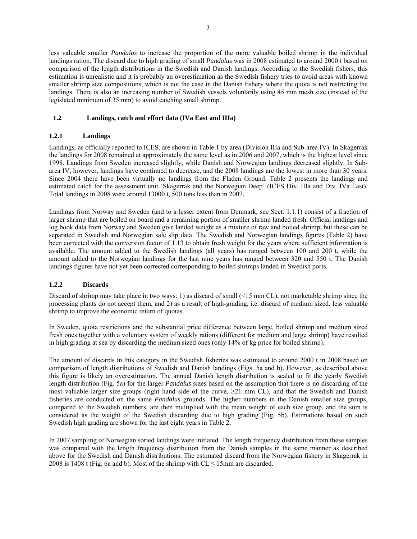less valuable smaller *Pandalus* to increase the proportion of the more valuable boiled shrimp in the individual landings ration. The discard due to high grading of small *Pandalus* was in 2008 estimated to around 2000 t based on comparison of the length distributions in the Swedish and Danish landings. According to the Swedish fishers, this estimation is unrealistic and it is probably an overestimation as the Swedish fishery tries to avoid areas with known smaller shrimp size compositions, which is not the case in the Danish fishery where the quota is not restricting the landings. There is also an increasing number of Swedish vessels voluntarily using 45 mm mesh size (instead of the legislated minimum of 35 mm) to avoid catching small shrimp.

# **1.2 Landings, catch and effort data (IVa East and IIIa)**

## **1.2.1 Landings**

Landings, as officially reported to ICES, are shown in Table 1 by area (Division IIIa and Sub-area IV). In Skagerrak the landings for 2008 remained at approximately the same level as in 2006 and 2007, which is the highest level since 1998. Landings from Sweden increased slightly, while Danish and Norwegian landings decreased slightly. In Subarea IV, however, landings have continued to decrease, and the 2008 landings are the lowest in more than 30 years. Since 2004 there have been virtually no landings from the Fladen Ground. Table 2 presents the landings and estimated catch for the assessment unit 'Skagerrak and the Norwegian Deep' (ICES Div. IIIa and Div. IVa East). Total landings in 2008 were around 13000 t, 500 tons less than in 2007.

Landings from Norway and Sweden (and to a lesser extent from Denmark, see Sect. 1.1.1) consist of a fraction of larger shrimp that are boiled on board and a remaining portion of smaller shrimp landed fresh. Official landings and log book data from Norway and Sweden give landed weight as a mixture of raw and boiled shrimp, but these can be separated in Swedish and Norwegian sale slip data. The Swedish and Norwegian landings figures (Table 2) have been corrected with the conversion factor of 1.13 to obtain fresh weight for the years where sufficient information is available. The amount added to the Swedish landings (all years) has ranged between 100 and 200 t, while the amount added to the Norwegian landings for the last nine years has ranged between 320 and 550 t. The Danish landings figures have not yet been corrected corresponding to boiled shrimps landed in Swedish ports.

# **1.2.2 Discards**

Discard of shrimp may take place in two ways: 1) as discard of small (<15 mm CL), not marketable shrimp since the processing plants do not accept them, and 2) as a result of high-grading, i.e. discard of medium sized, less valuable shrimp to improve the economic return of quotas.

In Sweden, quota restrictions and the substantial price difference between large, boiled shrimp and medium sized fresh ones together with a voluntary system of weekly rations (different for medium and large shrimp) have resulted in high grading at sea by discarding the medium sized ones (only 14% of kg price for boiled shrimp).

The amount of discards in this category in the Swedish fisheries was estimated to around 2000 t in 2008 based on comparison of length distributions of Swedish and Danish landings (Figs. 5a and b). However, as described above this figure is likely an overestimation. The annual Danish length distribution is scaled to fit the yearly Swedish length distribution (Fig. 5a) for the larger *Pandalus* sizes based on the assumption that there is no discarding of the most valuable larger size groups (right hand side of the curve, ≥21 mm CL), and that the Swedish and Danish fisheries are conducted on the same *Pandalus* grounds. The higher numbers in the Danish smaller size groups, compared to the Swedish numbers, are then multiplied with the mean weight of each size group, and the sum is considered as the weight of the Swedish discarding due to high grading (Fig. 5b). Estimations based on such Swedish high grading are shown for the last eight years in Table 2.

In 2007 sampling of Norwegian sorted landings were initiated. The length frequency distribution from these samples was compared with the length frequency distribution from the Danish samples in the same manner as described above for the Swedish and Danish distributions. The estimated discard from the Norwegian fishery in Skagerrak in 2008 is 1408 t (Fig. 6a and b). Most of the shrimp with  $CL \le 15$ mm are discarded.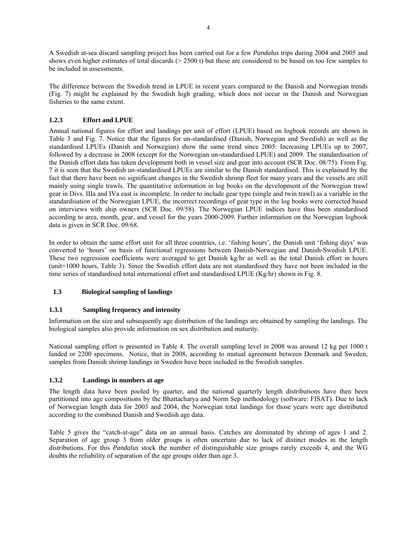A Swedish at-sea discard sampling project has been carried out for a few *Pandalus* trips during 2004 and 2005 and shows even higher estimates of total discards ( $> 2500$  t) but these are considered to be based on too few samples to be included in assessments.

The difference between the Swedish trend in LPUE in recent years compared to the Danish and Norwegian trends (Fig. 7) might be explained by the Swedish high grading, which does not occur in the Danish and Norwegian fisheries to the same extent.

# **1.2.3 Effort and LPUE**

Annual national figures for effort and landings per unit of effort (LPUE) based on logbook records are shown in Table 3 and Fig. 7. Notice that the figures for un-standardised (Danish, Norwegian and Swedish) as well as the standardised LPUEs (Danish and Norwegian) show the same trend since 2005: Increasing LPUEs up to 2007, followed by a decrease in 2008 (except for the Norwegian un-standardised LPUE) and 2009. The standardisation of the Danish effort data has taken development both in vessel size and gear into account (SCR Doc. 08/75). From Fig. 7 it is seen that the Swedish un-standardised LPUEs are similar to the Danish standardised. This is explained by the fact that there have been no significant changes in the Swedish shrimp fleet for many years and the vessels are still mainly using single trawls. The quantitative information in log books on the development of the Norwegian trawl gear in Divs. IIIa and IVa east is incomplete. In order to include gear type (single and twin trawl) as a variable in the standardisation of the Norwegian LPUE, the incorrect recordings of gear type in the log books were corrected based on interviews with ship owners (SCR Doc. 09/58). The Norwegian LPUE indices have thus been standardised according to area, month, gear, and vessel for the years 2000-2009. Further information on the Norwegian logbook data is given in SCR Doc. 09/68.

In order to obtain the same effort unit for all three countries, i.e. 'fishing hours', the Danish unit 'fishing days' was converted to 'hours' on basis of functional regressions between Danish-Norwegian and Danish-Swedish LPUE. These two regression coefficients were averaged to get Danish kg/hr as well as the total Danish effort in hours (unit=1000 hours, Table 3). Since the Swedish effort data are not standardised they have not been included in the time series of standardised total international effort and standardised LPUE (Kg/hr) shown in Fig. 8.

### **1.3 Biological sampling of landings**

### **1.3.1 Sampling frequency and intensity**

Information on the size and subsequently age distribution of the landings are obtained by sampling the landings. The biological samples also provide information on sex distribution and maturity.

National sampling effort is presented in Table 4. The overall sampling level in 2008 was around 12 kg per 1000 t landed or 2200 specimens. Notice, that in 2008, according to mutual agreement between Denmark and Sweden, samples from Danish shrimp landings in Sweden have been included in the Swedish samples.

### **1.3.2 Landings in numbers at age**

The length data have been pooled by quarter, and the national quarterly length distributions have then been partitioned into age compositions by the Bhattacharya and Norm Sep methodology (software: FISAT). Due to lack of Norwegian length data for 2003 and 2004, the Norwegian total landings for those years were age distributed according to the combined Danish and Swedish age data.

Table 5 gives the "catch-at-age" data on an annual basis. Catches are dominated by shrimp of ages 1 and 2. Separation of age group 3 from older groups is often uncertain due to lack of distinct modes in the length distributions. For this *Pandalus* stock the number of distinguishable size groups rarely exceeds 4, and the WG doubts the reliability of separation of the age groups older than age 3.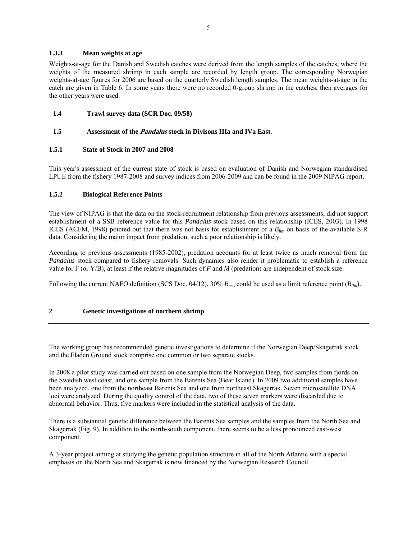### **1.3.3 Mean weights at age**

Weights-at-age for the Danish and Swedish catches were derived from the length samples of the catches, where the weights of the measured shrimp in each sample are recorded by length group. The corresponding Norwegian weights-at-age figures for 2006 are based on the quarterly Swedish length samples. The mean weights-at-age in the catch are given in Table 6. In some years there were no recorded 0-group shrimp in the catches, then averages for the other years were used.

#### **1.4 Trawl survey data (SCR Doc. 09/58)**

#### **1.5 Assessment of the Pandalus stock in Divisons IIIa and IVa East.**

### **1.5.1 State of Stock in 2007 and 2008**

This year's assessment of the current state of stock is based on evaluation of Danish and Norwegian standardised LPUE from the fishery 1987-2008 and survey indices from 2006-2009 and can be found in the 2009 NIPAG report.

#### **1.5.2 Biological Reference Points**

The view of NIPAG is that the data on the stock-recruitment relationship from previous assessments, did not support establishment of a SSB reference value for this *Pandalus* stock based on this relationship (ICES, 2003). In 1998 ICES (ACFM, 1998) pointed out that there was not basis for establishment of a *Blim* on basis of the available S-R data. Considering the major impact from predation, such a poor relationship is likely.

According to previous assessments (1985-2002), predation accounts for at least twice as much removal from the *Pandalus* stock compared to fishery removals. Such dynamics also render it problematic to establish a reference value for F (or Y/B), at least if the relative magnitudes of *F* and *M* (predation) are independent of stock size.

Following the current NAFO definition (SCS Doc. 04/12), 30% *Bmsy* could be used as a limit reference point (*Blim*).

### **2 Genetic investigations of northern shrimp**

The working group has recommended genetic investigations to determine if the Norwegian Deep/Skagerrak stock and the Fladen Ground stock comprise one common or two separate stocks.

In 2008 a pilot study was carried out based on one sample from the Norwegian Deep, two samples from fjords on the Swedish west coast, and one sample from the Barents Sea (Bear Island). In 2009 two additional samples have been analyzed, one from the northeast Barents Sea and one from northeast Skagerrak. Seven microsatellite DNA loci were analyzed. During the quality control of the data, two of these seven markers were discarded due to abnormal behavior. Thus, five markers were included in the statistical analysis of the data.

There is a substantial genetic difference between the Barents Sea samples and the samples from the North Sea and Skagerrak (Fig. 9). In addition to the north-south component, there seems to be a less pronounced east-west component.

A 3-year project aiming at studying the genetic population structure in all of the North Atlantic with a special emphasis on the North Sea and Skagerrak is now financed by the Norwegian Research Council.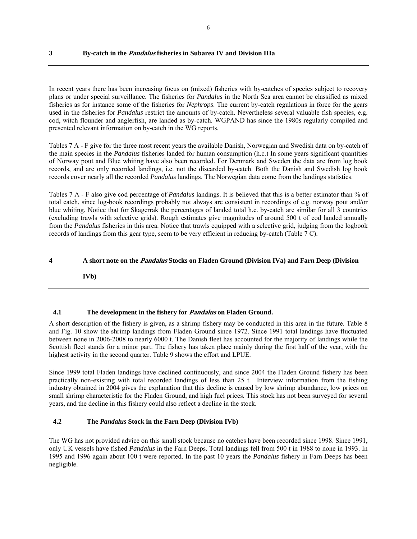#### **3 By-catch in the Pandalus fisheries in Subarea IV and Division IIIa**

In recent years there has been increasing focus on (mixed) fisheries with by-catches of species subject to recovery plans or under special surveillance. The fisheries for *Pandalus* in the North Sea area cannot be classified as mixed fisheries as for instance some of the fisheries for *Nephrops*. The current by-catch regulations in force for the gears used in the fisheries for *Pandalus* restrict the amounts of by-catch. Nevertheless several valuable fish species, e.g. cod, witch flounder and anglerfish, are landed as by-catch. WGPAND has since the 1980s regularly compiled and presented relevant information on by-catch in the WG reports.

Tables 7 A - F give for the three most recent years the available Danish, Norwegian and Swedish data on by-catch of the main species in the *Pandalus* fisheries landed for human consumption (h.c.) In some years significant quantities of Norway pout and Blue whiting have also been recorded. For Denmark and Sweden the data are from log book records, and are only recorded landings, i.e. not the discarded by-catch. Both the Danish and Swedish log book records cover nearly all the recorded *Pandalus* landings. The Norwegian data come from the landings statistics.

Tables 7 A - F also give cod percentage of *Pandalus* landings. It is believed that this is a better estimator than % of total catch, since log-book recordings probably not always are consistent in recordings of e.g. norway pout and/or blue whiting. Notice that for Skagerrak the percentages of landed total h.c. by-catch are similar for all 3 countries (excluding trawls with selective grids). Rough estimates give magnitudes of around 500 t of cod landed annually from the *Pandalus* fisheries in this area. Notice that trawls equipped with a selective grid, judging from the logbook records of landings from this gear type, seem to be very efficient in reducing by-catch (Table 7 C).

# **4 A short note on the Pandalus Stocks on Fladen Ground (Division IVa) and Farn Deep (Division**

**IVb)** 

### **4.1 The development in the fishery for Pandalus on Fladen Ground.**

A short description of the fishery is given, as a shrimp fishery may be conducted in this area in the future. Table 8 and Fig. 10 show the shrimp landings from Fladen Ground since 1972. Since 1991 total landings have fluctuated between none in 2006-2008 to nearly 6000 t. The Danish fleet has accounted for the majority of landings while the Scottish fleet stands for a minor part. The fishery has taken place mainly during the first half of the year, with the highest activity in the second quarter. Table 9 shows the effort and LPUE.

Since 1999 total Fladen landings have declined continuously, and since 2004 the Fladen Ground fishery has been practically non-existing with total recorded landings of less than 25 t. Interview information from the fishing industry obtained in 2004 gives the explanation that this decline is caused by low shrimp abundance, low prices on small shrimp characteristic for the Fladen Ground, and high fuel prices. This stock has not been surveyed for several years, and the decline in this fishery could also reflect a decline in the stock.

#### **4.2 The** *Pandalus* **Stock in the Farn Deep (Division IVb)**

The WG has not provided advice on this small stock because no catches have been recorded since 1998. Since 1991, only UK vessels have fished *Pandalus* in the Farn Deeps. Total landings fell from 500 t in 1988 to none in 1993. In 1995 and 1996 again about 100 t were reported. In the past 10 years the *Pandalus* fishery in Farn Deeps has been negligible.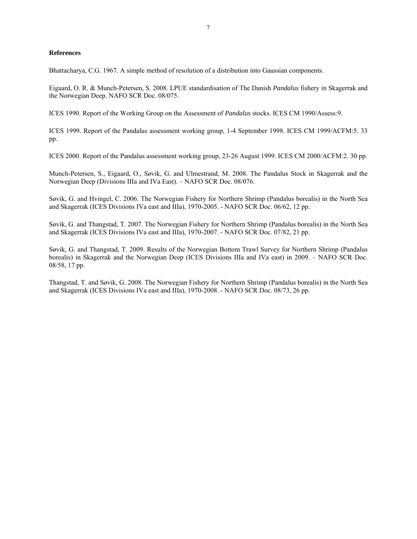#### **References**

Bhattacharya, C.G. 1967. A simple method of resolution of a distribution into Gaussian components.

Eigaard, O. R. & Munch-Petersen, S. 2008. LPUE standardisation of The Danish *Pandalus* fishery in Skagerrak and the Norwegian Deep. NAFO SCR Doc. 08/075.

ICES 1990. Report of the Working Group on the Assessment of *Pandalus* stocks. ICES CM 1990/Assess:9.

ICES 1999. Report of the Pandalus assessment working group, 1-4 September 1998. ICES CM 1999/ACFM:5. 33 pp.

ICES 2000. Report of the Pandalus assessment working group, 23-26 August 1999. ICES CM 2000/ACFM:2. 30 pp.

Munch-Petersen, S., Eigaard, O., Søvik, G. and Ulmestrand, M. 2008. The Pandalus Stock in Skagerrak and the Norwegian Deep (Divisions IIIa and IVa East). – NAFO SCR Doc. 08/076.

Søvik, G. and Hvingel, C. 2006. The Norwegian Fishery for Northern Shrimp (Pandalus borealis) in the North Sea and Skagerrak (ICES Divisions IVa east and IIIa), 1970-2005. - NAFO SCR Doc. 06/62, 12 pp.

Søvik, G. and Thangstad, T. 2007. The Norwegian Fishery for Northern Shrimp (Pandalus borealis) in the North Sea and Skagerrak (ICES Divisions IVa east and IIIa), 1970-2007. - NAFO SCR Doc. 07/82, 21 pp.

Søvik, G. and Thangstad, T. 2009. Results of the Norwegian Bottom Trawl Survey for Northern Shrimp (Pandalus borealis) in Skagerrak and the Norwegian Deep (ICES Divisions IIIa and IVa east) in 2009. – NAFO SCR Doc. 08/58, 17 pp.

Thangstad, T. and Søvik, G. 2008. The Norwegian Fishery for Northern Shrimp (Pandalus borealis) in the North Sea and Skagerrak (ICES Divisions IVa east and IIIa), 1970-2008. - NAFO SCR Doc. 08/73, 26 pp.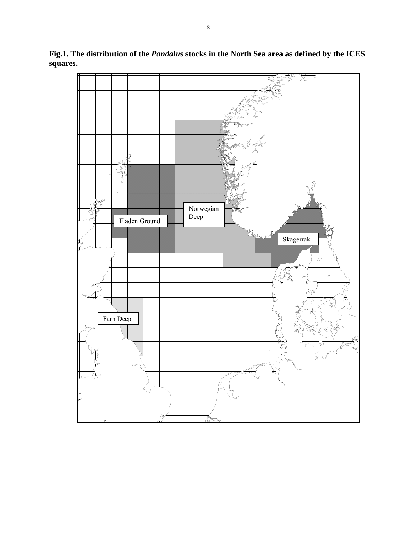

**Fig.1. The distribution of the** *Pandalus* **stocks in the North Sea area as defined by the ICES squares.**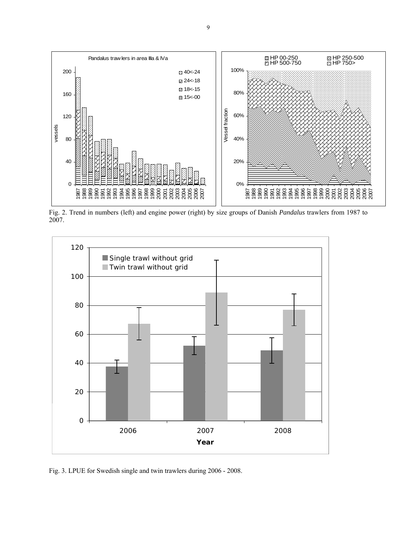

Fig. 2. Trend in numbers (left) and engine power (right) by size groups of Danish *Pandalus* trawlers from 1987 to 2007.



Fig. 3. LPUE for Swedish single and twin trawlers during 2006 - 2008.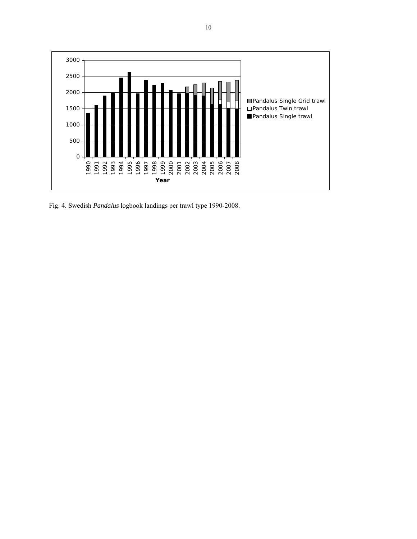

Fig. 4. Swedish *Pandalus* logbook landings per trawl type 1990-2008.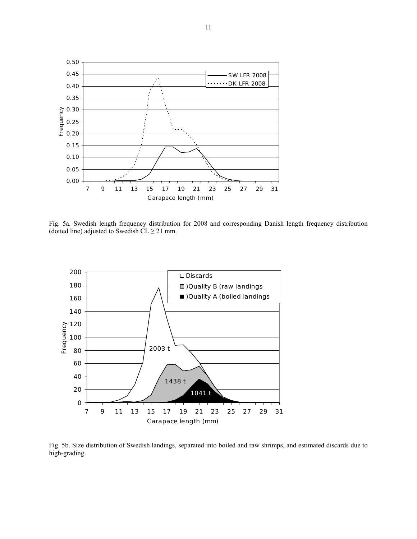

Fig. 5a. Swedish length frequency distribution for 2008 and corresponding Danish length frequency distribution (dotted line) adjusted to Swedish  $CL \ge 21$  mm.



Fig. 5b. Size distribution of Swedish landings, separated into boiled and raw shrimps, and estimated discards due to high-grading.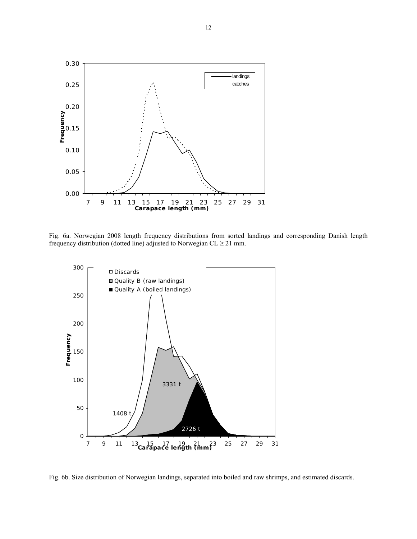

Fig. 6a. Norwegian 2008 length frequency distributions from sorted landings and corresponding Danish length frequency distribution (dotted line) adjusted to Norwegian  $CL \ge 21$  mm.



Fig. 6b. Size distribution of Norwegian landings, separated into boiled and raw shrimps, and estimated discards.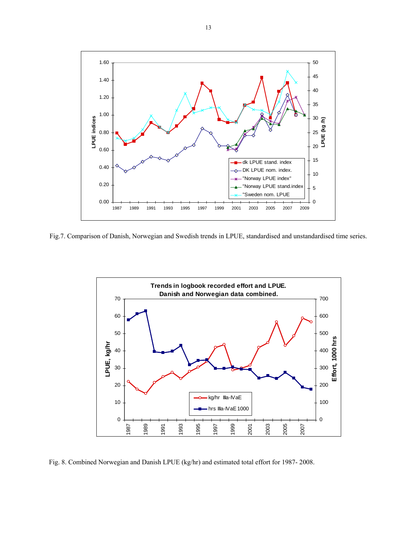

Fig.7. Comparison of Danish, Norwegian and Swedish trends in LPUE, standardised and unstandardised time series.



Fig. 8. Combined Norwegian and Danish LPUE (kg/hr) and estimated total effort for 1987- 2008.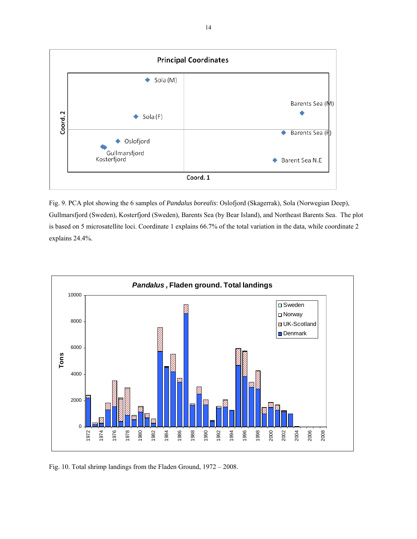

Fig. 9. PCA plot showing the 6 samples of *Pandalus borealis*: Oslofjord (Skagerrak), Sola (Norwegian Deep), Gullmarsfjord (Sweden), Kosterfjord (Sweden), Barents Sea (by Bear Island), and Northeast Barents Sea. The plot is based on 5 microsatellite loci. Coordinate 1 explains 66.7% of the total variation in the data, while coordinate 2 explains 24.4%.



Fig. 10. Total shrimp landings from the Fladen Ground, 1972 – 2008.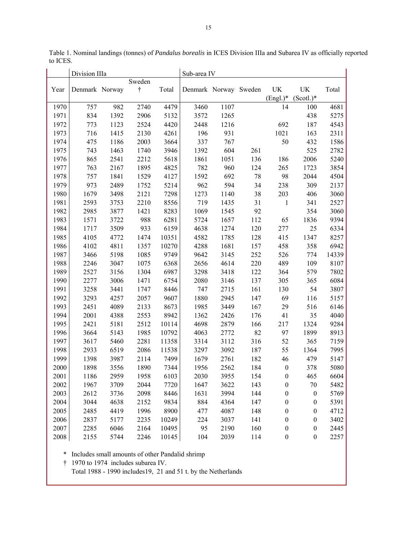|      | Division IIIa  |      |           |       | Sub-area IV           |      |     |                      |                    |       |
|------|----------------|------|-----------|-------|-----------------------|------|-----|----------------------|--------------------|-------|
|      |                |      | Sweden    |       |                       |      |     |                      |                    |       |
| Year | Denmark Norway |      | $\dagger$ | Total | Denmark Norway Sweden |      |     | UK                   | UK<br>$(Scotl.)^*$ | Total |
| 1970 | 757            | 982  | 2740      | 4479  | 3460                  | 1107 |     | $(English.)^*$<br>14 | 100                | 4681  |
| 1971 | 834            | 1392 | 2906      | 5132  | 3572                  | 1265 |     |                      | 438                | 5275  |
| 1972 | 773            | 1123 | 2524      | 4420  | 2448                  | 1216 |     | 692                  | 187                | 4543  |
| 1973 | 716            | 1415 | 2130      | 4261  | 196                   | 931  |     | 1021                 | 163                | 2311  |
| 1974 | 475            | 1186 | 2003      | 3664  | 337                   | 767  |     | 50                   | 432                | 1586  |
| 1975 | 743            | 1463 | 1740      | 3946  | 1392                  | 604  | 261 |                      | 525                | 2782  |
| 1976 | 865            | 2541 | 2212      | 5618  | 1861                  | 1051 | 136 | 186                  | 2006               | 5240  |
| 1977 | 763            | 2167 | 1895      | 4825  | 782                   | 960  | 124 | 265                  | 1723               | 3854  |
| 1978 | 757            | 1841 | 1529      | 4127  | 1592                  | 692  | 78  | 98                   | 2044               | 4504  |
| 1979 | 973            | 2489 | 1752      | 5214  | 962                   | 594  | 34  | 238                  | 309                | 2137  |
| 1980 | 1679           | 3498 | 2121      | 7298  | 1273                  | 1140 | 38  | 203                  | 406                | 3060  |
| 1981 | 2593           | 3753 | 2210      | 8556  | 719                   | 1435 | 31  | $\mathbf{1}$         | 341                | 2527  |
| 1982 | 2985           | 3877 | 1421      | 8283  | 1069                  | 1545 | 92  |                      | 354                | 3060  |
| 1983 | 1571           | 3722 | 988       | 6281  | 5724                  | 1657 | 112 | 65                   | 1836               | 9394  |
| 1984 | 1717           | 3509 | 933       | 6159  | 4638                  | 1274 | 120 | 277                  | 25                 | 6334  |
| 1985 | 4105           | 4772 | 1474      | 10351 | 4582                  | 1785 | 128 | 415                  | 1347               | 8257  |
| 1986 | 4102           | 4811 | 1357      | 10270 | 4288                  | 1681 | 157 | 458                  | 358                | 6942  |
| 1987 | 3466           | 5198 | 1085      | 9749  | 9642                  | 3145 | 252 | 526                  | 774                | 14339 |
| 1988 | 2246           | 3047 | 1075      | 6368  | 2656                  | 4614 | 220 | 489                  | 109                | 8107  |
| 1989 | 2527           | 3156 | 1304      | 6987  | 3298                  | 3418 | 122 | 364                  | 579                | 7802  |
| 1990 | 2277           | 3006 | 1471      | 6754  | 2080                  | 3146 | 137 | 305                  | 365                | 6084  |
| 1991 | 3258           | 3441 | 1747      | 8446  | 747                   | 2715 | 161 | 130                  | 54                 | 3807  |
| 1992 | 3293           | 4257 | 2057      | 9607  | 1880                  | 2945 | 147 | 69                   | 116                | 5157  |
| 1993 | 2451           | 4089 | 2133      | 8673  | 1985                  | 3449 | 167 | 29                   | 516                | 6146  |
| 1994 | 2001           | 4388 | 2553      | 8942  | 1362                  | 2426 | 176 | 41                   | 35                 | 4040  |
| 1995 | 2421           | 5181 | 2512      | 10114 | 4698                  | 2879 | 166 | 217                  | 1324               | 9284  |
| 1996 | 3664           | 5143 | 1985      | 10792 | 4063                  | 2772 | 82  | 97                   | 1899               | 8913  |
| 1997 | 3617           | 5460 | 2281      | 11358 | 3314                  | 3112 | 316 | 52                   | 365                | 7159  |
| 1998 | 2933           | 6519 | 2086      | 11538 | 3297                  | 3092 | 187 | 55                   | 1364               | 7995  |
| 1999 | 1398           | 3987 | 2114      | 7499  | 1679                  | 2761 | 182 | 46                   | 479                | 5147  |
| 2000 | 1898           | 3556 | 1890      | 7344  | 1956                  | 2562 | 184 | $\boldsymbol{0}$     | 378                | 5080  |
| 2001 | 1186           | 2959 | 1958      | 6103  | 2030                  | 3955 | 154 | $\boldsymbol{0}$     | 465                | 6604  |
| 2002 | 1967           | 3709 | 2044      | 7720  | 1647                  | 3622 | 143 | $\boldsymbol{0}$     | $70\,$             | 5482  |
| 2003 | 2612           | 3736 | 2098      | 8446  | 1631                  | 3994 | 144 | $\boldsymbol{0}$     | $\boldsymbol{0}$   | 5769  |
| 2004 | 3044           | 4638 | 2152      | 9834  | 884                   | 4364 | 147 | $\boldsymbol{0}$     | $\boldsymbol{0}$   | 5391  |
| 2005 | 2485           | 4419 | 1996      | 8900  | 477                   | 4087 | 148 | $\boldsymbol{0}$     | $\boldsymbol{0}$   | 4712  |
| 2006 | 2837           | 5177 | 2235      | 10249 | 224                   | 3037 | 141 | $\boldsymbol{0}$     | $\boldsymbol{0}$   | 3402  |
| 2007 | 2285           | 6046 | 2164      | 10495 | 95                    | 2190 | 160 | $\boldsymbol{0}$     | $\boldsymbol{0}$   | 2445  |
| 2008 | 2155           | 5744 | 2246      | 10145 | 104                   | 2039 | 114 | $\boldsymbol{0}$     | $\boldsymbol{0}$   | 2257  |

Table 1. Nominal landings (tonnes) of *Pandalus borealis* in ICES Division IIIa and Subarea IV as officially reported to ICES.

\* Includes small amounts of other Pandalid shrimp

† 1970 to 1974 includes subarea IV.

Total 1988 - 1990 includes19, 21 and 51 t. by the Netherlands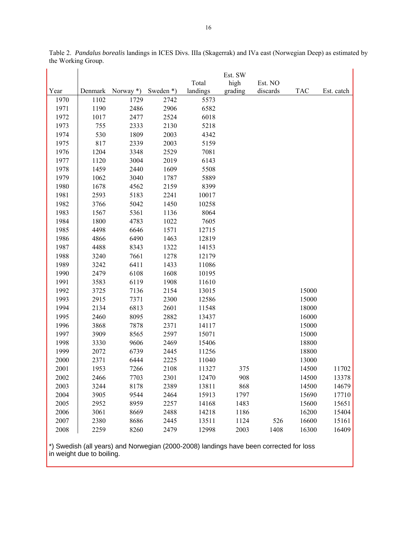|      |         |           |           |                   | Est. SW         |                     |            |            |
|------|---------|-----------|-----------|-------------------|-----------------|---------------------|------------|------------|
| Year | Denmark | Norway *) | Sweden *) | Total<br>landings | high<br>grading | Est. NO<br>discards | <b>TAC</b> | Est. catch |
| 1970 | 1102    | 1729      | 2742      | 5573              |                 |                     |            |            |
| 1971 | 1190    | 2486      | 2906      | 6582              |                 |                     |            |            |
| 1972 | 1017    | 2477      | 2524      | 6018              |                 |                     |            |            |
| 1973 | 755     | 2333      | 2130      | 5218              |                 |                     |            |            |
| 1974 | 530     | 1809      | 2003      | 4342              |                 |                     |            |            |
| 1975 | 817     | 2339      | 2003      | 5159              |                 |                     |            |            |
| 1976 | 1204    | 3348      | 2529      | 7081              |                 |                     |            |            |
| 1977 | 1120    | 3004      | 2019      | 6143              |                 |                     |            |            |
| 1978 | 1459    | 2440      | 1609      | 5508              |                 |                     |            |            |
| 1979 | 1062    | 3040      | 1787      | 5889              |                 |                     |            |            |
| 1980 | 1678    | 4562      | 2159      | 8399              |                 |                     |            |            |
| 1981 | 2593    | 5183      | 2241      | 10017             |                 |                     |            |            |
| 1982 | 3766    | 5042      | 1450      | 10258             |                 |                     |            |            |
| 1983 | 1567    | 5361      | 1136      | 8064              |                 |                     |            |            |
| 1984 | 1800    | 4783      | 1022      | 7605              |                 |                     |            |            |
| 1985 | 4498    | 6646      | 1571      | 12715             |                 |                     |            |            |
| 1986 | 4866    | 6490      | 1463      | 12819             |                 |                     |            |            |
| 1987 | 4488    | 8343      | 1322      | 14153             |                 |                     |            |            |
| 1988 | 3240    | 7661      | 1278      | 12179             |                 |                     |            |            |
| 1989 | 3242    | 6411      | 1433      | 11086             |                 |                     |            |            |
| 1990 | 2479    | 6108      | 1608      | 10195             |                 |                     |            |            |
| 1991 | 3583    | 6119      | 1908      | 11610             |                 |                     |            |            |
| 1992 | 3725    | 7136      | 2154      | 13015             |                 |                     | 15000      |            |
| 1993 | 2915    | 7371      | 2300      | 12586             |                 |                     | 15000      |            |
| 1994 | 2134    | 6813      | 2601      | 11548             |                 |                     | 18000      |            |
| 1995 | 2460    | 8095      | 2882      | 13437             |                 |                     | 16000      |            |
| 1996 | 3868    | 7878      | 2371      | 14117             |                 |                     | 15000      |            |
| 1997 | 3909    | 8565      | 2597      | 15071             |                 |                     | 15000      |            |
| 1998 | 3330    | 9606      | 2469      | 15406             |                 |                     | 18800      |            |
| 1999 | 2072    | 6739      | 2445      | 11256             |                 |                     | 18800      |            |
| 2000 | 2371    | 6444      | 2225      | 11040             |                 |                     | 13000      |            |
| 2001 | 1953    | 7266      | 2108      | 11327             | 375             |                     | 14500      | 11702      |
| 2002 | 2466    | 7703      | 2301      | 12470             | 908             |                     | 14500      | 13378      |
| 2003 | 3244    | 8178      | 2389      | 13811             | 868             |                     | 14500      | 14679      |
| 2004 | 3905    | 9544      | 2464      | 15913             | 1797            |                     | 15690      | 17710      |
| 2005 | 2952    | 8959      | 2257      | 14168             | 1483            |                     | 15600      | 15651      |
| 2006 | 3061    | 8669      | 2488      | 14218             | 1186            |                     | 16200      | 15404      |
| 2007 | 2380    | 8686      | 2445      | 13511             | 1124            | 526                 | 16600      | 15161      |
| 2008 | 2259    | 8260      | 2479      | 12998             | 2003            | 1408                | 16300      | 16409      |

Table 2. *Pandalus borealis* landings in ICES Divs. IIIa (Skagerrak) and IVa east (Norwegian Deep) as estimated by the Working Group.

\*) Swedish (all years) and Norwegian (2000-2008) landings have been corrected for loss in weight due to boiling.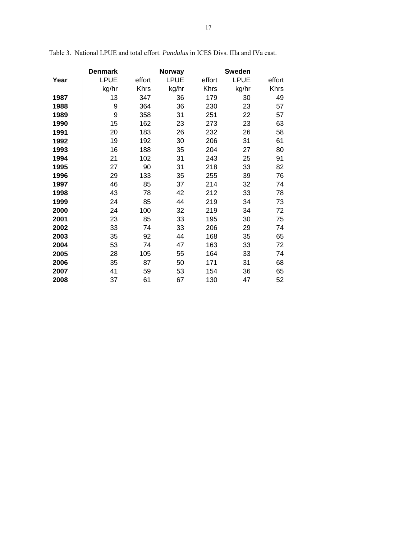|      | <b>Denmark</b> |        | Norway      |             | <b>Sweden</b> |             |
|------|----------------|--------|-------------|-------------|---------------|-------------|
| Year | <b>LPUE</b>    | effort | <b>LPUE</b> | effort      | <b>LPUE</b>   | effort      |
|      | kg/hr          | Khrs   | kg/hr       | <b>Khrs</b> | kg/hr         | <b>Khrs</b> |
| 1987 | 13             | 347    | 36          | 179         | 30            | 49          |
| 1988 | 9              | 364    | 36          | 230         | 23            | 57          |
| 1989 | 9              | 358    | 31          | 251         | 22            | 57          |
| 1990 | 15             | 162    | 23          | 273         | 23            | 63          |
| 1991 | 20             | 183    | 26          | 232         | 26            | 58          |
| 1992 | 19             | 192    | 30          | 206         | 31            | 61          |
| 1993 | 16             | 188    | 35          | 204         | 27            | 80          |
| 1994 | 21             | 102    | 31          | 243         | 25            | 91          |
| 1995 | 27             | 90     | 31          | 218         | 33            | 82          |
| 1996 | 29             | 133    | 35          | 255         | 39            | 76          |
| 1997 | 46             | 85     | 37          | 214         | 32            | 74          |
| 1998 | 43             | 78     | 42          | 212         | 33            | 78          |
| 1999 | 24             | 85     | 44          | 219         | 34            | 73          |
| 2000 | 24             | 100    | 32          | 219         | 34            | 72          |
| 2001 | 23             | 85     | 33          | 195         | 30            | 75          |
| 2002 | 33             | 74     | 33          | 206         | 29            | 74          |
| 2003 | 35             | 92     | 44          | 168         | 35            | 65          |
| 2004 | 53             | 74     | 47          | 163         | 33            | 72          |
| 2005 | 28             | 105    | 55          | 164         | 33            | 74          |
| 2006 | 35             | 87     | 50          | 171         | 31            | 68          |
| 2007 | 41             | 59     | 53          | 154         | 36            | 65          |
| 2008 | 37             | 61     | 67          | 130         | 47            | 52          |

Table 3. National LPUE and total effort. *Pandalus* in ICES Divs. IIIa and IVa east.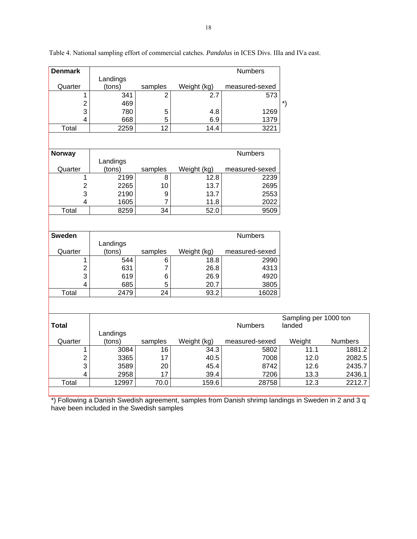| <b>Denmark</b>               |                |                  |                     | <b>Numbers</b>         |                       |                          |
|------------------------------|----------------|------------------|---------------------|------------------------|-----------------------|--------------------------|
|                              | Landings       |                  |                     |                        |                       |                          |
| Quarter                      | (tons)         | samples          | Weight (kg)         | measured-sexed         |                       |                          |
| 1                            | 341            | $\overline{2}$   | 2.7                 | 573                    |                       |                          |
| $\overline{\mathbf{c}}$      | 469            |                  |                     |                        | $^{\star})$           |                          |
| 3                            | 780            | 5                | 4.8                 | 1269                   |                       |                          |
| 4                            | 668            | 5                | 6.9                 | 1379                   |                       |                          |
| Total                        | 2259           | 12               | 14.4                | 3221                   |                       |                          |
|                              |                |                  |                     |                        |                       |                          |
| <b>Norway</b>                |                |                  |                     | <b>Numbers</b>         |                       |                          |
|                              | Landings       |                  |                     |                        |                       |                          |
| Quarter                      | (tons)         | samples          | Weight (kg)         | measured-sexed         |                       |                          |
| 1                            | 2199           | 8                | 12.8                | 2239                   |                       |                          |
| $\overline{\mathbf{c}}$      | 2265           | 10               | 13.7                | 2695                   |                       |                          |
| 3                            | 2190           | $\boldsymbol{9}$ | 13.7                | 2553                   |                       |                          |
| 4                            | 1605           | $\overline{7}$   | 11.8                | 2022                   |                       |                          |
| Total                        | 8259           | 34               | 52.0                | 9509                   |                       |                          |
|                              |                |                  |                     |                        |                       |                          |
| <b>Sweden</b>                |                |                  |                     | <b>Numbers</b>         |                       |                          |
|                              | Landings       |                  |                     |                        |                       |                          |
| Quarter                      | (tons)         | samples          | Weight (kg)         | measured-sexed         |                       |                          |
| 1                            | 544            | 6                | 18.8                | 2990                   |                       |                          |
| $\overline{c}$               | 631            | $\overline{7}$   | 26.8                | 4313                   |                       |                          |
| 3                            | 619            | 6                | 26.9                | 4920                   |                       |                          |
| 4                            | 685            | 5                | 20.7                | 3805                   |                       |                          |
| Total                        | 2479           | 24               | 93.2                | 16028                  |                       |                          |
|                              |                |                  |                     |                        |                       |                          |
|                              |                |                  |                     |                        | Sampling per 1000 ton |                          |
| <b>Total</b>                 |                |                  |                     | <b>Numbers</b>         | landed                |                          |
|                              | Landings       |                  |                     |                        |                       |                          |
| Quarter                      | (tons)<br>3084 | samples<br>16    | Weight (kg)<br>34.3 | measured-sexed<br>5802 | Weight<br>11.1        | <b>Numbers</b><br>1881.2 |
| 1                            | 3365           | 17               | 40.5                | 7008                   | 12.0                  | 2082.5                   |
| $\overline{\mathbf{c}}$<br>3 | 3589           | 20               | 45.4                | 8742                   | 12.6                  | 2435.7                   |
| $\overline{4}$               | 2958           | 17               | 39.4                | 7206                   | 13.3                  | 2436.1                   |
| Total                        | 12997          | 70.0             | 159.6               | 28758                  | 12.3                  | 2212.7                   |
|                              |                |                  |                     |                        |                       |                          |

Table 4. National sampling effort of commercial catches. *Pandalus* in ICES Divs. IIIa and IVa east.

\*) Following a Danish Swedish agreement, samples from Danish shrimp landings in Sweden in 2 and 3 q have been included in the Swedish samples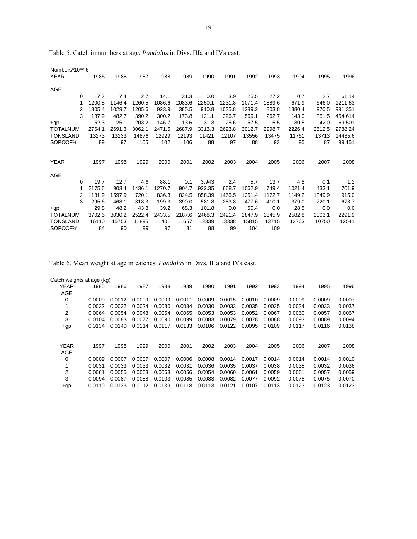| Numbers*10**-6  |        |        |        |        |        |        |        |        |        |        |        |         |
|-----------------|--------|--------|--------|--------|--------|--------|--------|--------|--------|--------|--------|---------|
| <b>YEAR</b>     | 1985   | 1986   | 1987   | 1988   | 1989   | 1990   | 1991   | 1992   | 1993   | 1994   | 1995   | 1996    |
| AGE             |        |        |        |        |        |        |        |        |        |        |        |         |
| $\Omega$        | 17.7   | 7.4    | 2.7    | 14.1   | 31.3   | 0.0    | 3.9    | 25.5   | 27.2   | 0.7    | 2.7    | 61.14   |
| 1               | 1200.8 | 1146.4 | 1260.5 | 1086.6 | 2083.6 | 2250.1 | 1231.8 | 1071.4 | 1889.6 | 671.9  | 646.0  | 1211.63 |
| 2               | 1305.4 | 1029.7 | 1205.6 | 923.9  | 385.5  | 910.8  | 1035.8 | 1289.2 | 803.8  | 1380.4 | 970.5  | 991.351 |
| 3               | 187.9  | 482.7  | 390.2  | 300.2  | 173.8  | 121.1  | 326.7  | 569.1  | 262.7  | 143.0  | 851.5  | 454.614 |
| $+qp$           | 52.3   | 25.1   | 203.2  | 146.7  | 13.6   | 31.3   | 25.6   | 57.5   | 15.5   | 30.5   | 42.0   | 69.501  |
| TOTALNUM        | 2764.1 | 2691.3 | 3062.1 | 2471.5 | 2687.9 | 3313.3 | 2623.8 | 3012.7 | 2998.7 | 2226.4 | 2512.5 | 2788.24 |
| TONSLAND        | 13273  | 13233  | 14876  | 12929  | 12193  | 11421  | 12107  | 13556  | 13475  | 11761  | 13713  | 14435.6 |
| SOPCOF%         | 89     | 97     | 105    | 102    | 106    | 88     | 97     | 88     | 93     | 95     | 87     | 99.151  |
|                 |        |        |        |        |        |        |        |        |        |        |        |         |
| <b>YEAR</b>     | 1997   | 1998   | 1999   | 2000   | 2001   | 2002   | 2003   | 2004   | 2005   | 2006   | 2007   | 2008    |
| AGE             |        |        |        |        |        |        |        |        |        |        |        |         |
| 0               | 19.7   | 12.7   | 4.6    | 88.1   | 0.1    | 3.943  | 2.4    | 5.7    | 13.7   | 4.8    | 0.1    | 1.2     |
| 1               | 2175.6 | 903.4  | 1436.1 | 1270.7 | 904.7  | 922.35 | 668.7  | 1062.9 | 749.4  | 1021.4 | 433.1  | 701.9   |
| 2               | 1181.9 | 1597.9 | 720.1  | 836.3  | 824.5  | 858.39 | 1466.5 | 1251.4 | 1172.7 | 1149.2 | 1349.9 | 915.0   |
| 3               | 295.6  | 468.1  | 318.3  | 199.3  | 390.0  | 581.8  | 283.8  | 477.6  | 410.1  | 379.0  | 220.1  | 673.7   |
| $+qp$           | 29.8   | 48.2   | 43.3   | 39.2   | 68.3   | 101.8  | 0.0    | 50.4   | 0.0    | 28.5   | 0.0    | 0.0     |
| <b>TOTALNUM</b> | 3702.6 | 3030.2 | 2522.4 | 2433.5 | 2187.6 | 2468.3 | 2421.4 | 2847.9 | 2345.9 | 2582.8 | 2003.1 | 2291.9  |
| TONSLAND        | 16110  | 15753  | 11895  | 11401  | 11657  | 12339  | 13338  | 15815  | 13715  | 13763  | 10750  | 12541   |
| SOPCOF%         | 84     | 90     | 99     | 97     | 81     | 88     | 99     | 104    | 109    |        |        |         |
|                 |        |        |        |        |        |        |        |        |        |        |        |         |

Table 5. Catch in numbers at age. *Pandalus* in Divs. IIIa and IVa east.

Table 6. Mean weight at age in catches. *Pandalus* in Divs. IIIa and IVa east.

| 1985   | 1986   | 1987                              | 1988   | 1989   | 1990   | 1991   | 1992   | 1993   | 1994   | 1995   | 1996   |
|--------|--------|-----------------------------------|--------|--------|--------|--------|--------|--------|--------|--------|--------|
|        |        |                                   |        |        |        |        |        |        |        |        |        |
| 0.0009 | 0.0012 | 0.0009                            | 0.0009 | 0.0011 | 0.0009 | 0.0015 | 0.0010 | 0.0009 | 0.0009 | 0.0009 | 0.0007 |
| 0.0032 | 0.0032 | 0.0024                            | 0.0030 | 0.0034 | 0.0030 | 0.0033 | 0.0035 | 0.0035 | 0.0034 | 0.0033 | 0.0037 |
| 0.0064 | 0.0054 | 0.0048                            | 0.0054 | 0.0065 | 0.0053 | 0.0053 | 0.0052 | 0.0067 | 0.0060 | 0.0057 | 0.0067 |
| 0.0104 | 0.0083 | 0.0077                            | 0.0090 | 0.0099 | 0.0083 | 0.0079 | 0.0078 | 0.0088 | 0.0093 | 0.0089 | 0.0094 |
| 0.0134 | 0.0140 | 0.0114                            | 0.0117 | 0.0133 | 0.0106 | 0.0122 | 0.0095 | 0.0109 | 0.0117 | 0.0116 | 0.0138 |
|        |        |                                   |        |        |        |        |        |        |        |        | 2008   |
|        |        |                                   |        |        |        |        |        |        |        |        |        |
| 0.0009 | 0.0007 | 0.0007                            | 0.0007 | 0.0006 | 0.0008 | 0.0014 | 0.0017 | 0.0014 | 0.0014 | 0.0014 | 0.0010 |
| 0.0031 | 0.0033 | 0.0033                            | 0.0032 | 0.0031 | 0.0036 | 0.0035 | 0.0037 | 0.0038 | 0.0035 | 0.0032 | 0.0036 |
| 0.0061 | 0.0055 | 0.0063                            | 0.0063 | 0.0056 | 0.0054 | 0.0060 | 0.0061 | 0.0059 | 0.0061 | 0.0057 | 0.0059 |
| 0.0094 | 0.0087 | 0.0088                            | 0.0103 | 0.0085 | 0.0083 | 0.0082 | 0.0077 | 0.0092 | 0.0075 | 0.0075 | 0.0070 |
| 0.0119 | 0.0133 | 0.0112                            | 0.0139 | 0.0118 | 0.0113 | 0.0121 | 0.0107 | 0.0113 | 0.0123 | 0.0123 | 0.0123 |
|        | 1997   | Catch weights at age (kg)<br>1998 | 1999   | 2000   | 2001   | 2002   | 2003   | 2004   | 2005   | 2006   | 2007   |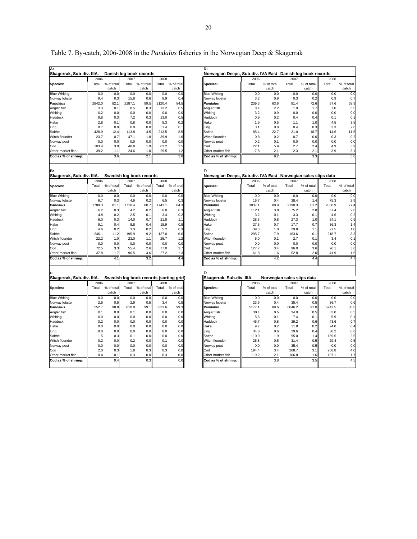| A:                        |        |            |        |                         |        |            | D:                                                         |       |            |       |            |      |
|---------------------------|--------|------------|--------|-------------------------|--------|------------|------------------------------------------------------------|-------|------------|-------|------------|------|
| Skagerrak, Sub-div. IIIA. |        |            |        | Danish log book records |        |            | Norwegian Deeps, Sub-div. IVA East Danish log book records |       |            |       |            |      |
|                           | 2006   |            | 2007   |                         | 2008   |            |                                                            | 2006  |            | 2007  |            |      |
| Species:                  | Total  | % of total | Total  | % of total              | Total  | % of total | <b>Species:</b>                                            | Total | % of total | Total | % of total | Tota |
|                           |        | catch      |        | catch                   |        | catch      |                                                            |       | catch      |       | catch      |      |
| <b>Blue Whiting</b>       | 0.0    | 0.0        | 0.0    | 0.0                     | 0.0    | 0.0        | <b>Blue Whiting</b>                                        | 0.0   | 0.0        | 0.0   | 0.0        |      |
| Norway lobster            | 9.4    | 0.3        | 15.8   | 0.6                     | 8.9    | 0.4        | Norway lobster                                             | 3.2   | 0.9        | 0.3   | 0.2        |      |
| Pandalus                  | 2842.0 | 82.1       | 2287.1 | 89.5                    | 2120.4 | 84.5       | <b>Pandalus</b>                                            | 239.3 | 63.6       | 81.4  | 72.6       |      |
| Angler fish               | 3.3    | 0.1        | 8.5    | 0.3                     | 13.2   | 0.5        | Angler fish                                                | 8.4   | 2.2        | 1.9   | 1.7        |      |
| Whiting                   | 0.2    | 0.0        | 0.0    | 0.0                     | 0.0    | 0.0        | Whitina                                                    | 3.2   | 0.9        | 0.0   | 0.0        |      |
| Haddock                   | 9.8    | 0.3        | 7.2    | 0.3                     | 13.0   | 0.5        | Haddock                                                    | 0.9   | 0.2        | 0.4   | 0.4        |      |
| Hake                      | 2.8    | 0.1        | 0.8    | 0.0                     | 5.3    | 0.2        | Hake                                                       | 1.9   | 0.5        | 1.1   | 1.0        |      |
| Ling                      | 0.7    | 0.0        | 0.9    | 0.0                     | 1.4    | 0.1        | Ling                                                       | 3.1   | 0.8        | 0.4   | 0.3        |      |
| Saithe                    | 428.9  | 12.4       | 113.8  | 4.5                     | 213.5  | 8.5        | Saithe                                                     | 85.4  | 22.7       | 21.0  | 18.7       |      |
| Witch flounder            | 23.7   | 0.7        | 47.1   | 1.8                     | 39.9   | 1.6        | Witch flounder                                             | 0.8   | 0.2        | 0.7   | 0.6        |      |
| Norway pout               | 0.0    | 0.0        | 0.0    | 0.0                     | 0.0    | 0.0        | Norway pout                                                | 0.2   | 0.1        | 0.0   | 0.0        |      |
| Cod                       | 103.4  | 3.0        | 48.8   | 1.9                     | 63.2   | 2.5        | Cod                                                        | 22.1  | 5.9        | 2.7   | 2.4        |      |
| Other market fish         | 39.2   | 1.11       | 24.6   | 1.0                     | 29.5   | 1.2        | Other market fish                                          | 7.8   | 2.1        | 2.3   | 2.1        |      |
| Cod as % of shrimp:       |        | 3.6        |        | 2.1                     |        | 3.0        | Cod as % of shrimp:                                        |       | 9.2        |       | 3.3        |      |
|                           |        |            |        |                         |        |            |                                                            |       |            |       |            |      |
|                           |        |            |        |                         |        |            |                                                            |       |            |       |            |      |

|                     |        |            | .      |            |        |            |
|---------------------|--------|------------|--------|------------|--------|------------|
|                     | 2006   |            | 2007   |            | 2008   |            |
| Species:            | Total  | % of total | Total  | % of total | Total  | % of total |
|                     |        | catch      |        | catch      |        | catch      |
| <b>Blue Whiting</b> | 0.0    | 0.0        | 0.0    | 0.0        | 0.0    | 0.0        |
| Norway lobster      | 6.7    | 0.3        | 4.6    | 0.2        | 6.5    | 0.3        |
| <b>Pandalus</b>     | 1789.3 | 81.1       | 1710.4 | 80.7       | 1743.1 | 84.3       |
| Angler fish         | 6.2    | 0.3        | 4.2    | 0.2        | 6.0    | 0.3        |
| Whitina             | 4.8    | 0.2        | 2.5    | 0.1        | 3.4    | 0.2        |
| Haddock             | 6.0    | 0.3        | 14.0   | 0.7        | 21.8   | 1.1        |
| Hake                | 9.1    | 0.4        | 8.8    | 0.4        | 15.9   | 0.8        |
| Ling                | 4.6    | 0.2        | 3.3    | 0.2        | 5.2    | 0.3        |
| Saithe              | 246.1  | 11.2       | 195.9  | 9.2        | 137.0  | 6.6        |
| Witch flounder      | 22.2   | 1.0        | 23.0   | 1.1        | 25.7   | 1.2        |
| Norway pout         | 0.0    | 0.0        | 0.0    | 0.0        | 0.0    | 0.0        |
| Cod                 | 72.5   | 3.3        | 55.4   | 2.6        | 77.0   | 3.7        |
| Other market fish   | 37.8   | 1.7        | 96.5   | 4.6        | 27.2   | 1.3        |
| Cod as % of shrimp: |        | 4.1        |        | 3.2        |        | 4.4        |
|                     |        |            |        |            |        |            |

| Skagerrak, Sub-div. IIIA. |       |            |       | Swedish log book records (sorting grid) |       |            |                     | Skagerrak, Sub-div. IIIA. |        |                  | Norwegian sales slips data |            |
|---------------------------|-------|------------|-------|-----------------------------------------|-------|------------|---------------------|---------------------------|--------|------------------|----------------------------|------------|
|                           | 2006  |            | 2007  |                                         | 2008  |            |                     |                           | 2006   |                  | 2007                       |            |
| Species:                  | Total | % of total | Total | % of total                              | Total | % of total | <b>Species:</b>     |                           | Total  | % of total       | Total                      | % of total |
|                           |       | catch      |       | catch                                   |       | catch      |                     |                           |        | catch            |                            | catch      |
| <b>Blue Whiting</b>       | 0.0   | 0.0        | 0.0   | 0.0                                     | 0.0   | 0.0        | <b>Blue Whiting</b> |                           | 0.0    | 0.0              | 0.0                        | 0.1        |
| Norway lobster            | 2.6   | 0.5        | 2.9   | 0.5                                     | 3.4   | 0.5        | Norway lobster      |                           | 23.6   | 0.4              | 35.4                       | $0$ .      |
| <b>Pandalus</b>           | 552.7 | 98.8       | 610.9 | 99.1                                    | 633.6 | 99.3       | <b>Pandalus</b>     |                           | 5177.1 | 89.6             | 6046.2                     | 91.1       |
| Angler fish               | 0.1   | 0.0        | 0.1   | 0.0                                     | 0.0   | 0.0        | Angler fish         |                           | 30.4   | 0.5              | 34.9                       | 0.5        |
| Whiting                   | 0.0   | 0.0        | 0.0   | 0.0                                     | 0.0   | 0.0        | Whitina             |                           | 5.6    | 0.1              | 7.4                        | 0.         |
| Haddock                   | 0.2   | 0.0        | 0.0   | 0.0                                     | 0.0   | 0.0        | Haddock             |                           | 45.7   | 0.8              | 39.2                       | 0.1        |
| Hake                      | 0.0   | 0.0        | 0.0   | 0.0                                     | 0.0   | 0.0        | Hake                |                           | 9.7    | 0.2              | 11.8                       | $0$ .      |
| Ling                      | 0.0   | 0.0        | 0.0   | 0.0                                     | 0.0   | 0.0        | Ling                |                           | 34.8   | 0.6              | 29.6                       | 0.4        |
| Saithe                    | 1.5   | 0.3        | 0.1   | 0.0                                     | 0.0   | 0.0        | Saithe              |                           | 110.9  | 1.9 <sub>1</sub> | 95.0                       | 1.         |
| Witch flounder            | 0.2   | 0.0        | 0.2   | 0.0                                     | 0.1   | 0.0        | Witch flounder      |                           | 25.8   | 0.5              | 31.4                       | 0.5        |
| Norway pout               | 0.0   | 0.0        | 0.0   | 0.0                                     | 0.0   | 0.0        | Norway pout         |                           | 0.0    | 0.0              | 35.4                       | 0.5        |
| Cod                       | 2.0   | 0.3        | 1.9   | 0.3                                     | 0.3   | 0.0        | Cod                 |                           | 194.4  | 3.4              | 208.7                      | 3.1        |
| Other market fish         | 0.4   | 0.1        | 0.3   | 0.0                                     | 0.3   | 0.0        | Other market fish   |                           | 119.2  | 2.1              | 106.8                      |            |
| Cod as % of shrimp:       |       | 0.4        |       | 0.3                                     |       | 0.0        | Cod as % of shrimp: |                           |        | 3.8              |                            | 3.5        |
|                           |       |            |       |                                         |       |            |                     |                           |        |                  |                            |            |

**C: F:**

| Skagerrak, Sub-div. IIIA. |        |            |        | Danish log book records |        |            | Norwegian Deeps, Sub-div. IVA East Danish log book records |       |            |       |            |       |            |
|---------------------------|--------|------------|--------|-------------------------|--------|------------|------------------------------------------------------------|-------|------------|-------|------------|-------|------------|
|                           | 2006   |            | 2007   |                         | 2008   |            |                                                            | 2006  |            | 2007  |            | 2008  |            |
| Species:                  | Total  | % of total | Total  | % of total              | Total  | % of total | <b>Species:</b>                                            | Total | % of total | Total | % of total | Total | % of total |
|                           |        | catch      |        | catch                   |        | catch      |                                                            |       | catch      |       | catch      |       | catch      |
| <b>Blue Whiting</b>       | 0.0    | 0.0        | 0.0    | 0.0                     | 0.0    | 0.0        | <b>Blue Whiting</b>                                        | 0.0   | 0.0        | 0.0   | 0.0        | 0.0   | 0.0        |
| Norway lobster            | 9.4    | 0.3        | 15.8   | 0.6                     | 8.9    | 0.4        | Norway lobster                                             | 3.2   | 0.9        | 0.3   | 0.2        | 0.9   | 0.7        |
| Pandalus                  | 2842.0 | 82.1       | 2287.1 | 89.5                    | 2120.4 | 84.5       | <b>Pandalus</b>                                            | 239.3 | 63.6       | 81.4  | 72.6       | 87.6  | 68.9       |
| Angler fish               | 3.3    | 0.1        | 8.5    | 0.3                     | 13.2   | 0.5        | Angler fish                                                | 8.4   | 2.2        | 1.9   | 1.7        | 7.0   | 5.5        |
| Whitina                   | 0.2    | 0.0        | 0.0    | 0.0                     | 0.0    | 0.0        | Whiting                                                    | 3.2   | 0.9        | 0.0   | 0.0        | 0.0   | 0.0        |
| Haddock                   | 9.8    | 0.3        | 7.2    | 0.3                     | 13.0   | 0.5        | Haddock                                                    | 0.9   | 0.2        | 0.4   | 0.4        | 0.1   | 0.1        |
| Hake                      | 2.8    | 0.1        | 0.8    | 0.0                     | 5.3    | 0.2        | Hake                                                       | 1.9   | 0.5        | 1.1   | 1.0        | 4.5   | 3.5        |
| Ling                      | 0.7    | 0.0        | 0.9    | 0.0                     | 1.4    | 0.1        | Ling                                                       | 3.1   | 0.8        | 0.4   | 0.3        | 3.3   | 2.6        |
| Saithe                    | 428.9  | 12.4       | 113.8  | 4.5                     | 213.5  | 8.5        | Saithe                                                     | 85.4  | 22.7       | 21.0  | 18.7       | 14.6  | 11.5       |
| Witch flounder            | 23.7   | 0.7        | 47.1   | 1.8                     | 39.9   | 1.6        | Witch flounder                                             | 0.8   | 0.2        | 0.7   | 0.6        | 0.3   | 0.2        |
| Norway pout               | 0.0    | 0.0        | 0.0    | 0.0                     | 0.0    | 0.0        | Norway pout                                                | 0.2   | 0.1        | 0.0   | 0.0        | 0.0   | 0.0        |
| Cod                       | 103.4  | 3.0        | 48.8   | 1.9                     | 63.2   | 2.5        | Cod                                                        | 22.1  | 5.9        | 2.7   | 2.4        | 4.9   | 3.9        |
| Other market fish         | 39.2   | 1.11       | 24.6   | 1.0                     | 29.5   | 1.2        | Other market fish                                          | 7.8   | 2.1        | 2.3   | 2.1        | 3.9   | 3.1        |
| Cod as % of shrimp:       |        | 3.6        |        | 2.1                     |        | 3.0        | Cod as % of shrimp:                                        |       | 9.2        |       | 3.3        |       | 5.6        |
|                           |        |            |        |                         |        |            |                                                            |       |            |       |            |       |            |

| B:                        |        |            |        |                          |        |            |                                                               |        |            |        |            |        |            |
|---------------------------|--------|------------|--------|--------------------------|--------|------------|---------------------------------------------------------------|--------|------------|--------|------------|--------|------------|
| Skagerrak, Sub-div. IIIA. |        |            |        | Swedish log book records |        |            | Norwegian Deeps, Sub-div. IVA East Norwegian sales slips data |        |            |        |            |        |            |
|                           | 2006   |            | 2007   |                          | 2008   |            |                                                               | 2006   |            | 2007   |            | 2008   |            |
| Species:                  | Total  | % of total | Total  | % of total               | Total  | % of total | <b>Species:</b>                                               | Total  | % of total | Total  | % of total | Total  | % of total |
|                           |        | catch      |        | catch                    |        | catch      |                                                               |        | catch      |        | catch      |        | catch      |
| <b>Blue Whiting</b>       | 0.0    | 0.0        | 0.0    | 0.0                      | 0.0    | 0.0        | <b>Blue Whiting</b>                                           | 0.0    | 0.0        | 0.0    | 0.0        | 0.0    | 0.0        |
| Norway lobster            | 6.7    | 0.3        | 4.6    | 0.2                      | 6.5    | 0.3        | Norway lobster                                                | 16.7   | 0.4        | 38.4   | 1.41       | 75.3   | 2.9        |
| Pandalus                  | 1789.3 | 81.1       | 1710.4 | 80.7                     | 1743.1 | 84.3       | <b>Pandalus</b>                                               | 3037.1 | 80.9       | 2190.3 | 81.2       | 2038.9 | 77.4       |
| Angler fish               | 6.2    | 0.3        | 4.2    | 0.2                      | 6.0    | 0.3        | Angler fish                                                   | 112.1  | 3.0        | 75.2   | 2.8        | 67.4   | 2.6        |
| Whiting                   | 4.8    | 0.2        | 2.5    | 0.1                      | 3.4    | 0.2        | Whiting                                                       | 3.2    | 0.1        | 3.3    | 0.1        | 4.6    | 0.2        |
| Haddock                   | 6.0    | 0.3        | 14.0   | 0.7                      | 21.8   | 1.1        | Haddock                                                       | 28.5   | 0.8        | 27.3   | 1.0        | 24.1   | 0.9        |
| Hake                      | 9.1    | 0.4        | 8.8    | 0.4                      | 15.9   | 0.8        | Hake                                                          | 27.5   | 0.7        | 17.7   | 0.7        | 36.3   | 1.4        |
| Lina                      | 4.6    | 0.2        | 3.3    | 0.2                      | 5.2    | 0.3        | Ling                                                          | 39.3   | 1.0        | 29.8   | 1.1        | 27.5   | 1.0        |
| Saithe                    | 246.1  | 11.2       | 195.9  | 9.2                      | 137.0  | 6.6        | Saithe                                                        | 295.7  | 7.9        | 163.6  | 6.1        | 218.7  | 8.3        |
| Witch flounder            | 22.2   | 1.0        | 23.0   | 1.11                     | 25.7   | 1.2        | Witch flounder                                                | 5.0    | 0.1        | 2.7    | 0.1        | 3.4    | 0.1        |
| Norway pout               | 0.0    | 0.0        | 0.0    | 0.0                      | 0.0    | 0.0        | Norway pout                                                   | 0.0    | 0.0        | 0.0    | 0.0        | 0.0    | 0.0        |
| Cod                       | 72.5   | 3.3        | 55.4   | 2.6                      | 77.0   | 3.7        | Cod                                                           | 127.7  | 3.4        | 96.0   | 3.6        | 96.1   | 3.6        |
| Other market fish         | 37.8   | 1.7        | 96.5   | 4.6                      | 27.2   | 1.3        | Other market fish                                             | 61.8   | 1.6        | 52.8   | 2.0        | 41.9   | 1.6        |
| Cod as % of shrimp:       |        | 4.1        |        | 3.2                      |        | 4.4        | Cod as % of shrimp:                                           |        | 4.2        |        | 4.4        |        | 4.7        |
|                           |        |            |        |                          |        |            |                                                               |        |            |        |            |        |            |

| Skagerrak, Sub-div. IIIA. |       |            |       | Swedish log book records (sorting grid) |       |            | Skagerrak, Sub-div. IIIA. |        |            | Norwegian sales slips data |            |        |            |
|---------------------------|-------|------------|-------|-----------------------------------------|-------|------------|---------------------------|--------|------------|----------------------------|------------|--------|------------|
|                           | 2006  |            | 2007  |                                         | 2008  |            |                           | 2006   |            | 2007                       |            | 2008   |            |
| Species:                  | Total | % of total | Total | % of total                              | Total | % of total | <b>Species:</b>           | Total  | % of total | Total                      | % of total | Total  | % of total |
|                           |       | catch      |       | catch                                   |       | catch      |                           |        | catch      |                            | catch      |        | catch      |
| <b>Blue Whiting</b>       | 0.0   | 0.0        | 0.0   | 0.0                                     | 0.0   | 0.0        | <b>Blue Whiting</b>       | 0.0    | 0.0        | 0.0                        | 0.0        | 0.0    | 0.0        |
| Norway lobster            | 2.6   | 0.5        | 2.9   | 0.5                                     | 3.4   | 0.5        | Norway lobster            | 23.6   | 0.4        | 35.4                       | 0.5        | 36.7   | 0.6        |
| Pandalus                  | 552.7 | 98.8       | 610.9 | 99.1                                    | 633.6 | 99.3       | <b>Pandalus</b>           | 5177.1 | 89.6       | 6046.2                     | 91.0       | 5742.5 | 88.6       |
| Angler fish               | 0.1   | 0.0        | 0.1   | 0.0                                     | 0.0   | 0.0        | Angler fish               | 30.4   | 0.5        | 34.9                       | 0.5        | 33.0   | 0.5        |
| Whitina                   | 0.0   | 0.0        | 0.0   | 0.0                                     | 0.0   | 0.0        | Whitina                   | 5.6    | 0.1        | 7.4                        | 0.1        | 5.9    | 0.1        |
| Haddock                   | 0.2   | 0.0        | 0.0   | 0.0                                     | 0.0   | 0.0        | Haddock                   | 45.7   | 0.8        | 39.2                       | 0.6        | 43.6   | 0.7        |
| Hake                      | 0.0   | 0.0        | 0.0   | 0.0                                     | 0.0   | 0.0        | Hake                      | 9.7    | 0.2        | 11.8                       | 0.2        | 24.0   | 0.4        |
| Ling                      | 0.0   | 0.0        | 0.0   | 0.0                                     | 0.0   | 0.0        | Ling                      | 34.8   | 0.6        | 29.6                       | 0.4        | 38.2   | 0.6        |
| Saithe                    | 1.5   | 0.3        | 0.1   | 0.0                                     | 0.0   | 0.0        | Saithe                    | 110.9  | 1.9        | 95.0                       | 1.4        | 159.5  | 2.5        |
| Witch flounder            | 0.2   | 0.0        | 0.2   | 0.0                                     | 0.1   | 0.0        | Witch flounder            | 25.8   | 0.5        | 31.4                       | 0.5        | 29.4   | 0.5        |
| Norway pout               | 0.0   | 0.0        | 0.0   | 0.0                                     | 0.0   | 0.0        | Norway pout               | 0.0    | 0.0        | 35.4                       | 0.5        | 0.0    | 0.0        |
| Cod                       | 2.0   | 0.3        | 1.9   | 0.3                                     | 0.3   | 0.0        | Cod                       | 194.4  | 3.4        | 208.7                      | 3.1        | 258.8  | 4.0        |
| Other market fish         | 0.4   | 0.1        | 0.3   | 0.0                                     | 0.3   | 0.0        | Other market fish         | 119.2  | 2.1        | 106.8                      | 1.6        | 107.1  | 1.7        |
| Cod as % of shrimp:       |       | 0.4        |       | 0.3                                     |       | 0.0        | Cod as % of shrimp:       |        | 3.8        |                            | 3.5        |        | 4.5        |
|                           |       |            |       |                                         |       |            |                           |        |            |                            |            |        |            |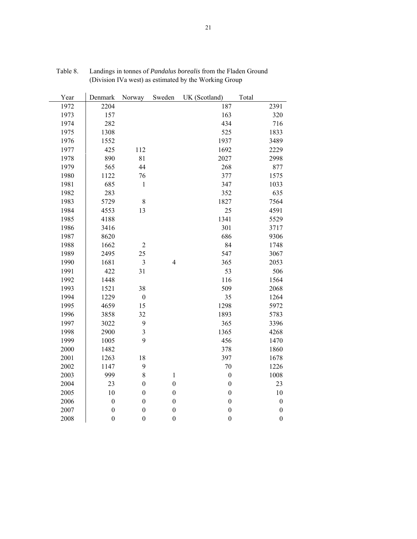| Year | Denmark          | Norway           | Sweden           | UK (Scotland)    | Total            |  |
|------|------------------|------------------|------------------|------------------|------------------|--|
| 1972 | 2204             |                  |                  | 187              |                  |  |
| 1973 | 157              |                  |                  | 320              |                  |  |
| 1974 | 282              |                  |                  | 716              |                  |  |
| 1975 | 1308             |                  |                  | 1833             |                  |  |
| 1976 | 1552             |                  | 1937             |                  | 3489             |  |
| 1977 | 425              | 112              | 1692             |                  | 2229             |  |
| 1978 | 890              | 81               | 2027             |                  | 2998             |  |
| 1979 | 565              | 44               | 268              |                  | 877              |  |
| 1980 | 1122             | 76               | 377              |                  | 1575             |  |
| 1981 | 685              | $\mathbf{1}$     | 347              |                  | 1033             |  |
| 1982 | 283              |                  |                  | 352              | 635              |  |
| 1983 | 5729             | $8\,$            |                  | 1827             | 7564             |  |
| 1984 | 4553             | 13               |                  | 25               | 4591             |  |
| 1985 | 4188             |                  |                  | 1341             | 5529             |  |
| 1986 | 3416             |                  |                  | 301              | 3717             |  |
| 1987 | 8620             |                  |                  | 686              | 9306             |  |
| 1988 | 1662             | $\overline{2}$   |                  | 84               | 1748             |  |
| 1989 | 2495             | 25               |                  | 547              | 3067             |  |
| 1990 | 1681             | $\mathfrak{Z}$   | $\overline{4}$   | 365              | 2053             |  |
| 1991 | 422              | 31               |                  | 53               | 506              |  |
| 1992 | 1448             |                  |                  | 116              | 1564             |  |
| 1993 | 1521             | 38               |                  | 509              | 2068             |  |
| 1994 | 1229             | $\boldsymbol{0}$ |                  | 35               | 1264             |  |
| 1995 | 4659             | 15               |                  | 1298             | 5972             |  |
| 1996 | 3858             | 32               |                  | 1893             | 5783             |  |
| 1997 | 3022             | 9                |                  | 365              | 3396             |  |
| 1998 | 2900             | $\mathfrak{Z}$   |                  | 1365             | 4268             |  |
| 1999 | 1005             | 9                |                  | 456              | 1470             |  |
| 2000 | 1482             |                  |                  | 378              | 1860             |  |
| 2001 | 1263             | 18               | 397              |                  | 1678             |  |
| 2002 | 1147             | 9                |                  | 70               |                  |  |
| 2003 | 999              | 8                | $\mathbf{1}$     | $\boldsymbol{0}$ | 1008             |  |
| 2004 | 23               | $\boldsymbol{0}$ | $\boldsymbol{0}$ | $\boldsymbol{0}$ | 23               |  |
| 2005 | 10               | $\boldsymbol{0}$ | $\boldsymbol{0}$ | $\boldsymbol{0}$ | 10               |  |
| 2006 | $\boldsymbol{0}$ | $\boldsymbol{0}$ | $\boldsymbol{0}$ | $\boldsymbol{0}$ | $\boldsymbol{0}$ |  |
| 2007 | $\boldsymbol{0}$ | $\boldsymbol{0}$ | $\boldsymbol{0}$ | $\boldsymbol{0}$ | $\boldsymbol{0}$ |  |
| 2008 | $\boldsymbol{0}$ | $\boldsymbol{0}$ | $\boldsymbol{0}$ | $\boldsymbol{0}$ | $\boldsymbol{0}$ |  |

Table 8. Landings in tonnes of *Pandalus borealis* from the Fladen Ground (Division IVa west) as estimated by the Working Group